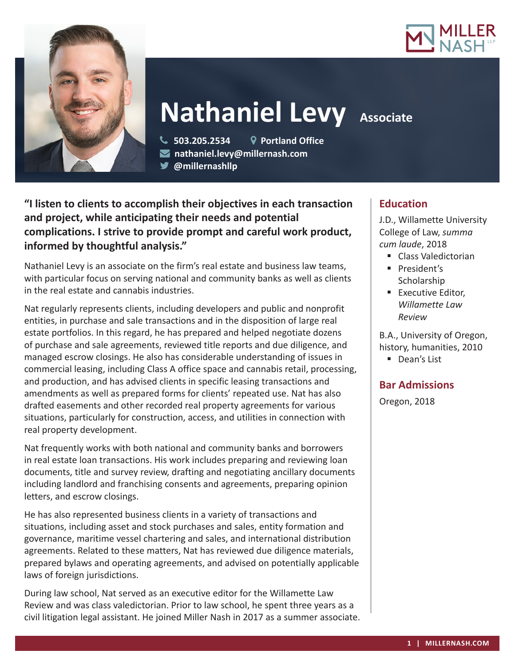



# **Nathaniel Levy Associate**

 **503.205.2534 Portland Office nathaniel.levy@millernash.com** 

**@millernashllp**

**"I listen to clients to accomplish their objectives in each transaction and project, while anticipating their needs and potential complications. I strive to provide prompt and careful work product, informed by thoughtful analysis."**

Nathaniel Levy is an associate on the firm's real estate and business law teams, with particular focus on serving national and community banks as well as clients in the real estate and cannabis industries.

Nat regularly represents clients, including developers and public and nonprofit entities, in purchase and sale transactions and in the disposition of large real estate portfolios. In this regard, he has prepared and helped negotiate dozens of purchase and sale agreements, reviewed title reports and due diligence, and managed escrow closings. He also has considerable understanding of issues in commercial leasing, including Class A office space and cannabis retail, processing, and production, and has advised clients in specific leasing transactions and amendments as well as prepared forms for clients' repeated use. Nat has also drafted easements and other recorded real property agreements for various situations, particularly for construction, access, and utilities in connection with real property development.

Nat frequently works with both national and community banks and borrowers in real estate loan transactions. His work includes preparing and reviewing loan documents, title and survey review, drafting and negotiating ancillary documents including landlord and franchising consents and agreements, preparing opinion letters, and escrow closings.

He has also represented business clients in a variety of transactions and situations, including asset and stock purchases and sales, entity formation and governance, maritime vessel chartering and sales, and international distribution agreements. Related to these matters, Nat has reviewed due diligence materials, prepared bylaws and operating agreements, and advised on potentially applicable laws of foreign jurisdictions.

During law school, Nat served as an executive editor for the Willamette Law Review and was class valedictorian. Prior to law school, he spent three years as a civil litigation legal assistant. He joined Miller Nash in 2017 as a summer associate.

# **Education**

J.D., Willamette University College of Law, *summa cum laude*, 2018

- Class Valedictorian
- **President's** Scholarship
- **Executive Editor.** *Willamette Law Review*

B.A., University of Oregon, history, humanities, 2010

Dean's List

# **Bar Admissions**

Oregon, 2018